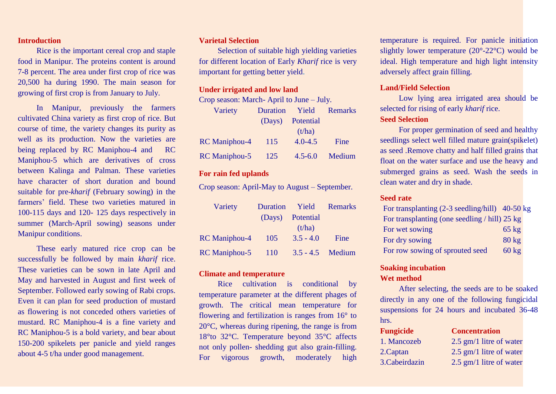## **Introduction**

Rice is the important cereal crop and staple food in Manipur. The proteins content is around 7-8 percent. The area under first crop of rice was 20,500 ha during 1990. The main season for growing of first crop is from January to July.

In Manipur, previously the farmers cultivated China variety as first crop of rice. But course of time, the variety changes its purity as well as its production. Now the varieties are being replaced by RC Maniphou-4 and RC Maniphou-5 which are derivatives of cross between Kalinga and Palman. These varieties have character of short duration and bound suitable for pre-*kharif* (February sowing) in the farmers' field. These two varieties matured in 100-115 days and 120- 125 days respectively in summer (March-April sowing) seasons under Manipur conditions.

These early matured rice crop can be successfully be followed by main *kharif* rice. These varieties can be sown in late April and May and harvested in August and first week of September. Followed early sowing of Rabi crops. Even it can plan for seed production of mustard as flowering is not conceded others varieties of mustard. RC Maniphou-4 is a fine variety and RC Maniphou-5 is a bold variety, and bear about 150-200 spikelets per panicle and yield ranges about 4-5 t/ha under good management.

## **Varietal Selection**

Selection of suitable high yielding varieties for different location of Early *Kharif* rice is very important for getting better yield.

### **Under irrigated and low land**

Crop season: March- April to June – July.

| Variety              | <b>Duration</b> | Yield       | <b>Remarks</b> |
|----------------------|-----------------|-------------|----------------|
|                      | (Days)          | Potential   |                |
|                      |                 | (t/ha)      |                |
| <b>RC</b> Maniphou-4 | 115             | $4.0 - 4.5$ | Fine           |
| <b>RC</b> Maniphou-5 | 125             | $4.5 - 6.0$ | Medium         |

## **For rain fed uplands**

Crop season: April-May to August – September.

| Variety              | <b>Duration</b> | Yield              | Remarks |
|----------------------|-----------------|--------------------|---------|
|                      |                 | (Days) Potential   |         |
|                      |                 | (t/ha)             |         |
| <b>RC</b> Maniphou-4 | 105             | $3.5 - 4.0$        | Fine    |
| <b>RC</b> Maniphou-5 | <sup>110</sup>  | $3.5 - 4.5$ Medium |         |

## **Climate and temperature**

Rice cultivation is conditional by temperature parameter at the different phages of growth. The critical mean temperature for flowering and fertilization is ranges from 16° to 20°C, whereas during ripening, the range is from 18°to 32°C. Temperature beyond 35°C affects not only pollen- shedding gut also grain-filling. For vigorous growth, moderately high temperature is required. For panicle initiation slightly lower temperature (20°-22°C) would be ideal. High temperature and high light intensity adversely affect grain filling.

## **Land/Field Selection**

Low lying area irrigated area should be selected for rising of early *kharif* rice.

## **Seed Selection**

For proper germination of seed and healthy seedlings select well filled mature grain(spikelet) as seed .Remove chatty and half filled grains that float on the water surface and use the heavy and submerged grains as seed. Wash the seeds in clean water and dry in shade.

#### **Seed rate**

| For transplanting $(2-3 \text{ seedling/hill})$ 40-50 kg |                 |  |
|----------------------------------------------------------|-----------------|--|
| For transplanting (one seedling / hill) 25 kg            |                 |  |
| For wet sowing                                           | $65 \text{ kg}$ |  |
| For dry sowing                                           | $80 \text{ kg}$ |  |
| For row sowing of sprouted seed                          | $60 \text{ kg}$ |  |

## **Soaking incubation**

#### **Wet method**

After selecting, the seeds are to be soaked directly in any one of the following fungicidal suspensions for 24 hours and incubated  $36-48$ hrs.

| <b>Fungicide</b> | <b>Concentration</b>      |
|------------------|---------------------------|
| 1. Mancozeb      | $2.5$ gm/1 litre of water |
| 2. Captan        | $2.5$ gm/1 litre of water |
| 3. Cabeirdazin   | $2.5$ gm/1 litre of water |